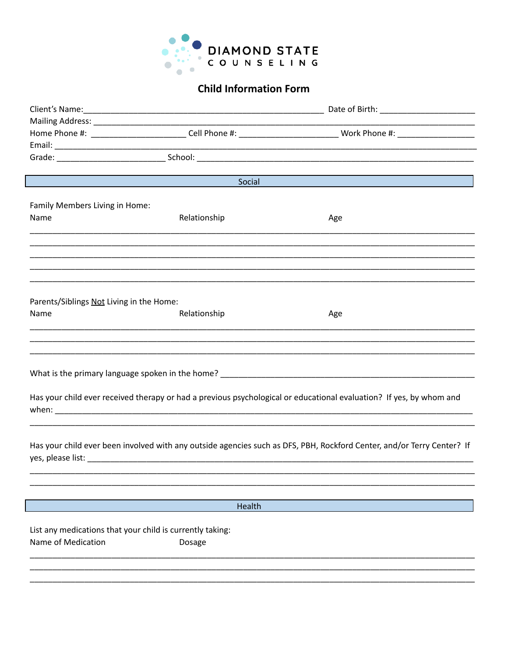

 $\overline{\phantom{a}}$ 

 $\begin{array}{c} \hline \end{array}$ 

## **Child Information Form**

|                                                           |              | Home Phone #: ___________________________Cell Phone #: ___________________________ Work Phone #: ___________________   |  |  |
|-----------------------------------------------------------|--------------|------------------------------------------------------------------------------------------------------------------------|--|--|
|                                                           |              |                                                                                                                        |  |  |
|                                                           |              |                                                                                                                        |  |  |
|                                                           |              |                                                                                                                        |  |  |
|                                                           | Social       |                                                                                                                        |  |  |
|                                                           |              |                                                                                                                        |  |  |
| Family Members Living in Home:                            |              |                                                                                                                        |  |  |
| Name                                                      | Relationship | Age                                                                                                                    |  |  |
|                                                           |              |                                                                                                                        |  |  |
|                                                           |              |                                                                                                                        |  |  |
|                                                           |              |                                                                                                                        |  |  |
|                                                           |              |                                                                                                                        |  |  |
|                                                           |              |                                                                                                                        |  |  |
| Parents/Siblings Not Living in the Home:                  |              |                                                                                                                        |  |  |
| Name                                                      | Relationship | Age                                                                                                                    |  |  |
|                                                           |              |                                                                                                                        |  |  |
|                                                           |              |                                                                                                                        |  |  |
|                                                           |              |                                                                                                                        |  |  |
|                                                           |              |                                                                                                                        |  |  |
|                                                           |              |                                                                                                                        |  |  |
|                                                           |              |                                                                                                                        |  |  |
|                                                           |              | Has your child ever received therapy or had a previous psychological or educational evaluation? If yes, by whom and    |  |  |
|                                                           |              |                                                                                                                        |  |  |
|                                                           |              |                                                                                                                        |  |  |
|                                                           |              |                                                                                                                        |  |  |
|                                                           |              | Has your child ever been involved with any outside agencies such as DFS, PBH, Rockford Center, and/or Terry Center? If |  |  |
|                                                           |              |                                                                                                                        |  |  |
|                                                           |              |                                                                                                                        |  |  |
|                                                           |              |                                                                                                                        |  |  |
|                                                           | Health       |                                                                                                                        |  |  |
|                                                           |              |                                                                                                                        |  |  |
| List any medications that your child is currently taking: |              |                                                                                                                        |  |  |
| Name of Medication                                        | Dosage       |                                                                                                                        |  |  |
|                                                           |              |                                                                                                                        |  |  |
|                                                           |              |                                                                                                                        |  |  |
|                                                           |              |                                                                                                                        |  |  |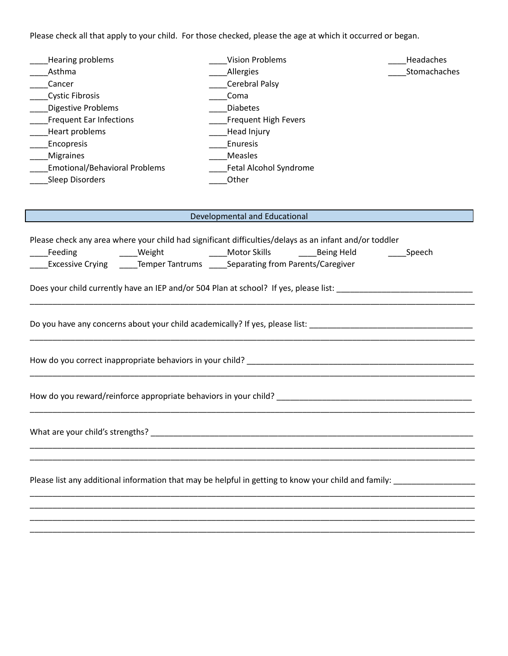Please check all that apply to your child. For those checked, please the age at which it occurred or began.

| Hearing problems                     | <b>Vision Problems</b> | Headaches    |
|--------------------------------------|------------------------|--------------|
| Asthma                               | Allergies              | Stomachaches |
| Cancer                               | Cerebral Palsy         |              |
| <b>Cystic Fibrosis</b>               | Coma                   |              |
| <b>Digestive Problems</b>            | <b>Diabetes</b>        |              |
| <b>Frequent Ear Infections</b>       | Frequent High Fevers   |              |
| Heart problems                       | Head Injury            |              |
| Encopresis                           | Enuresis               |              |
| <b>Migraines</b>                     | Measles                |              |
| <b>Emotional/Behavioral Problems</b> | Fetal Alcohol Syndrome |              |
| Sleep Disorders                      | Other                  |              |

## Developmental and Educational

|                                                                                | Please check any area where your child had significant difficulties/delays as an infant and/or toddler |  |  |                                                                                                                      |
|--------------------------------------------------------------------------------|--------------------------------------------------------------------------------------------------------|--|--|----------------------------------------------------------------------------------------------------------------------|
|                                                                                | _Feeding      _____Weight       _____Motor Skills    _____Being Held     _____Speech                   |  |  |                                                                                                                      |
| Excessive Crying ______Temper Tantrums ______Separating from Parents/Caregiver |                                                                                                        |  |  |                                                                                                                      |
|                                                                                |                                                                                                        |  |  | Does your child currently have an IEP and/or 504 Plan at school? If yes, please list: ______________________________ |
|                                                                                |                                                                                                        |  |  |                                                                                                                      |
|                                                                                |                                                                                                        |  |  |                                                                                                                      |
|                                                                                |                                                                                                        |  |  |                                                                                                                      |
|                                                                                |                                                                                                        |  |  |                                                                                                                      |
|                                                                                |                                                                                                        |  |  |                                                                                                                      |
|                                                                                |                                                                                                        |  |  | Please list any additional information that may be helpful in getting to know your child and family:                 |
|                                                                                |                                                                                                        |  |  |                                                                                                                      |

\_\_\_\_\_\_\_\_\_\_\_\_\_\_\_\_\_\_\_\_\_\_\_\_\_\_\_\_\_\_\_\_\_\_\_\_\_\_\_\_\_\_\_\_\_\_\_\_\_\_\_\_\_\_\_\_\_\_\_\_\_\_\_\_\_\_\_\_\_\_\_\_\_\_\_\_\_\_\_\_\_\_\_\_\_\_\_\_\_\_\_\_\_\_\_\_\_\_ \_\_\_\_\_\_\_\_\_\_\_\_\_\_\_\_\_\_\_\_\_\_\_\_\_\_\_\_\_\_\_\_\_\_\_\_\_\_\_\_\_\_\_\_\_\_\_\_\_\_\_\_\_\_\_\_\_\_\_\_\_\_\_\_\_\_\_\_\_\_\_\_\_\_\_\_\_\_\_\_\_\_\_\_\_\_\_\_\_\_\_\_\_\_\_\_\_\_